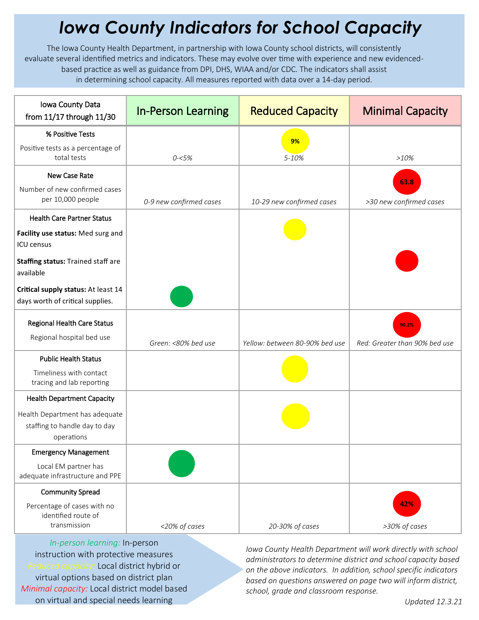## *Iowa County Indicators for School Capacity*

The Iowa County Health Department, in partnership with Iowa County school districts, will consistently evaluate several identified metrics and indicators. These may evolve over time with experience and new evidencedbased practice as well as guidance from DPI, DHS, WIAA and/or CDC. The indicators shall assist in determining school capacity. All measures reported with data over a 14-day period.

| Iowa County Data<br>from 11/17 through 11/30                                  | <b>In-Person Learning</b> | <b>Reduced Capacity</b>        | <b>Minimal Capacity</b>                |
|-------------------------------------------------------------------------------|---------------------------|--------------------------------|----------------------------------------|
| % Positive Tests                                                              |                           | 9%                             |                                        |
| Positive tests as a percentage of<br>total tests                              | $0 - 5%$                  | 5-10%                          | >10%                                   |
| New Case Rate                                                                 |                           |                                | 63.8                                   |
| Number of new confirmed cases<br>per 10,000 people                            | 0-9 new confirmed cases   | 10-29 new confirmed cases      | >30 new confirmed cases                |
| <b>Health Care Partner Status</b>                                             |                           |                                |                                        |
| Facility use status: Med surg and<br><b>ICU</b> census                        |                           |                                |                                        |
| Staffing status: Trained staff are<br>available                               |                           |                                |                                        |
| Critical supply status: At least 14<br>days worth of critical supplies.       |                           |                                |                                        |
| Regional Health Care Status<br>Regional hospital bed use                      | Green: <80% bed use       | Yellow: between 80-90% bed use | 90.2%<br>Red: Greater than 90% bed use |
| <b>Public Health Status</b>                                                   |                           |                                |                                        |
| Timeliness with contact<br>tracing and lab reporting                          |                           |                                |                                        |
| <b>Health Department Capacity</b>                                             |                           |                                |                                        |
| Health Department has adequate<br>staffing to handle day to day<br>operations |                           |                                |                                        |
| <b>Emergency Management</b>                                                   |                           |                                |                                        |
| Local EM partner has<br>adequate infrastructure and PPE                       |                           |                                |                                        |
| <b>Community Spread</b>                                                       |                           |                                |                                        |
| Percentage of cases with no<br>identified route of<br>transmission            | <20% of cases             | 20-30% of cases                | 42%<br>>30% of cases                   |

*In-person learning:* In-person instruction with protective measures *Reduced capacity:* Local district hybrid or virtual options based on district plan *Minimal capacity:* Local district model based on virtual and special needs learning

*Iowa County Health Department will work directly with school administrators to determine district and school capacity based on the above indicators. In addition, school specific indicators based on questions answered on page two will inform district, school, grade and classroom response.*